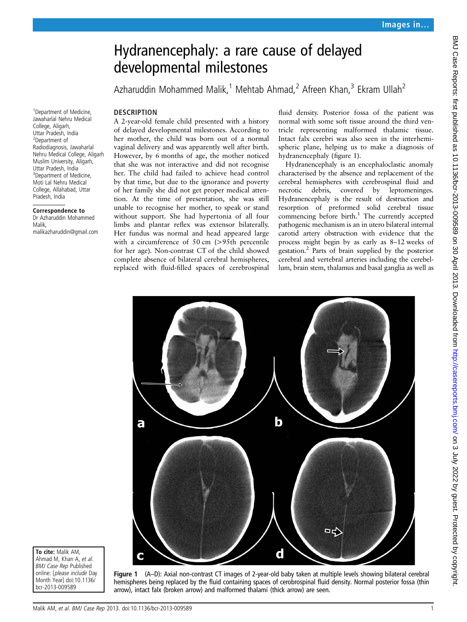# Hydranencephaly: a rare cause of delayed developmental milestones

Azharuddin Mohammed Malik,<sup>1</sup> Mehtab Ahmad,<sup>2</sup> Afreen Khan,<sup>3</sup> Ekram Ullah<sup>2</sup>

#### **DESCRIPTION**

<sup>1</sup>Department of Medicine, Jawaharlal Nehru Medical College, Aligarh, Uttar Pradesh, India 2 Department of Radiodiagnosis, Jawaharlal

Muslim University, Aligarh, Uttar Pradesh, India <sup>3</sup>Department of Medicine, Moti Lal Nehru Medical College, Allahabad, Uttar Pradesh, India

Correspondence to Dr Azharuddin Mohammed

malikazharuddin@gmail.com

Malik,

Nehru Medical College, Aligarh A 2-year-old female child presented with a history of delayed developmental milestones. According to her mother, the child was born out of a normal vaginal delivery and was apparently well after birth. However, by 6 months of age, the mother noticed that she was not interactive and did not recognise her. The child had failed to achieve head control by that time, but due to the ignorance and poverty of her family she did not get proper medical attention. At the time of presentation, she was still unable to recognise her mother, to speak or stand without support. She had hypertonia of all four limbs and plantar reflex was extensor bilaterally. Her fundus was normal and head appeared large with a circumference of 50 cm (>95th percentile for her age). Non-contrast CT of the child showed complete absence of bilateral cerebral hemispheres, replaced with fluid-filled spaces of cerebrospinal fluid density. Posterior fossa of the patient was normal with some soft tissue around the third ventricle representing malformed thalamic tissue. Intact falx cerebri was also seen in the interhemispheric plane, helping us to make a diagnosis of hydranencephaly (figure 1).

Hydranencephaly is an encephaloclastic anomaly characterised by the absence and replacement of the cerebral hemispheres with cerebrospinal fluid and necrotic debris, covered by leptomeninges. Hydranencephaly is the result of destruction and resorption of preformed solid cerebral tissue commencing before birth.<sup>1</sup> The currently accepted pathogenic mechanism is an in utero bilateral internal carotid artery obstruction with evidence that the process might begin by as early as 8–12 weeks of gestation.2 Parts of brain supplied by the posterior cerebral and vertebral arteries including the cerebellum, brain stem, thalamus and basal ganglia as well as



To cite: Malik AM, Ahmad M, Khan A, et al. BMJ Case Rep Published online: [please include Day Month Year] doi:10.1136/ bcr-2013-009589

Figure 1 (A–D): Axial non-contrast CT images of 2-year-old baby taken at multiple levels showing bilateral cerebral hemispheres being replaced by the fluid containing spaces of cerobrospinal fluid density. Normal posterior fossa (thin arrow), intact falx (broken arrow) and malformed thalami (thick arrow) are seen.